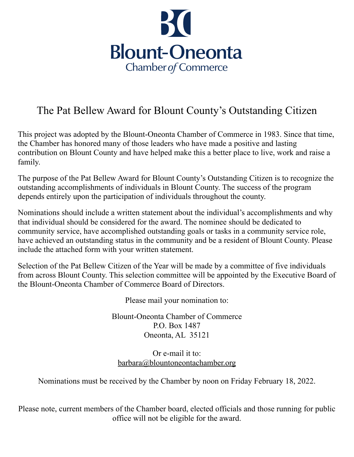

## The Pat Bellew Award for Blount County's Outstanding Citizen

This project was adopted by the Blount-Oneonta Chamber of Commerce in 1983. Since that time, the Chamber has honored many of those leaders who have made a positive and lasting contribution on Blount County and have helped make this a better place to live, work and raise a family.

The purpose of the Pat Bellew Award for Blount County's Outstanding Citizen is to recognize the outstanding accomplishments of individuals in Blount County. The success of the program depends entirely upon the participation of individuals throughout the county.

Nominations should include a written statement about the individual's accomplishments and why that individual should be considered for the award. The nominee should be dedicated to community service, have accomplished outstanding goals or tasks in a community service role, have achieved an outstanding status in the community and be a resident of Blount County. Please include the attached form with your written statement.

Selection of the Pat Bellew Citizen of the Year will be made by a committee of five individuals from across Blount County. This selection committee will be appointed by the Executive Board of the Blount-Oneonta Chamber of Commerce Board of Directors.

Please mail your nomination to:

Blount-Oneonta Chamber of Commerce P.O. Box 1487 Oneonta, AL 35121

Or e-mail it to: [barbara@blountoneontachamber.org](mailto:barbara@blountoneontachamber.org)

Nominations must be received by the Chamber by noon on Friday February 18, 2022.

Please note, current members of the Chamber board, elected officials and those running for public office will not be eligible for the award.